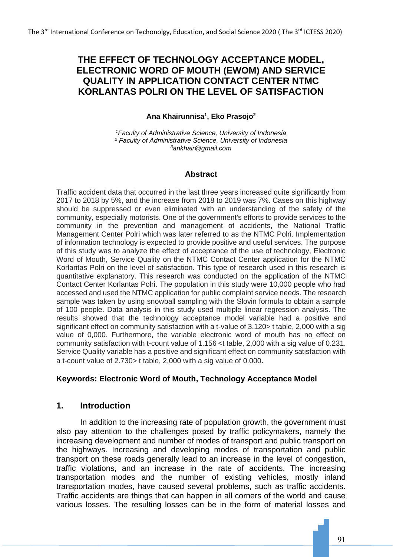# **THE EFFECT OF TECHNOLOGY ACCEPTANCE MODEL, ELECTRONIC WORD OF MOUTH (EWOM) AND SERVICE QUALITY IN APPLICATION CONTACT CENTER NTMC KORLANTAS POLRI ON THE LEVEL OF SATISFACTION**

## **Ana Khairunnisa<sup>1</sup> , Eko Prasojo<sup>2</sup>**

*<sup>1</sup>Faculty of Administrative Science, University of Indonesia <sup>2</sup> Faculty of Administrative Science, University of Indonesia <sup>3</sup>ankhair@gmail.com*

## **Abstract**

Traffic accident data that occurred in the last three years increased quite significantly from 2017 to 2018 by 5%, and the increase from 2018 to 2019 was 7%. Cases on this highway should be suppressed or even eliminated with an understanding of the safety of the community, especially motorists. One of the government's efforts to provide services to the community in the prevention and management of accidents, the National Traffic Management Center Polri which was later referred to as the NTMC Polri. Implementation of information technology is expected to provide positive and useful services. The purpose of this study was to analyze the effect of acceptance of the use of technology, Electronic Word of Mouth, Service Quality on the NTMC Contact Center application for the NTMC Korlantas Polri on the level of satisfaction. This type of research used in this research is quantitative explanatory. This research was conducted on the application of the NTMC Contact Center Korlantas Polri. The population in this study were 10,000 people who had accessed and used the NTMC application for public complaint service needs. The research sample was taken by using snowball sampling with the Slovin formula to obtain a sample of 100 people. Data analysis in this study used multiple linear regression analysis. The results showed that the technology acceptance model variable had a positive and significant effect on community satisfaction with a t-value of 3,120> t table, 2,000 with a sig value of 0,000. Furthermore, the variable electronic word of mouth has no effect on community satisfaction with t-count value of 1.156 <t table, 2,000 with a sig value of 0.231. Service Quality variable has a positive and significant effect on community satisfaction with a t-count value of 2.730> t table, 2,000 with a sig value of 0.000.

## **Keywords: Electronic Word of Mouth, Technology Acceptance Model**

## **1. Introduction**

In addition to the increasing rate of population growth, the government must also pay attention to the challenges posed by traffic policymakers, namely the increasing development and number of modes of transport and public transport on the highways. Increasing and developing modes of transportation and public transport on these roads generally lead to an increase in the level of congestion, traffic violations, and an increase in the rate of accidents. The increasing transportation modes and the number of existing vehicles, mostly inland transportation modes, have caused several problems, such as traffic accidents. Traffic accidents are things that can happen in all corners of the world and cause various losses. The resulting losses can be in the form of material losses and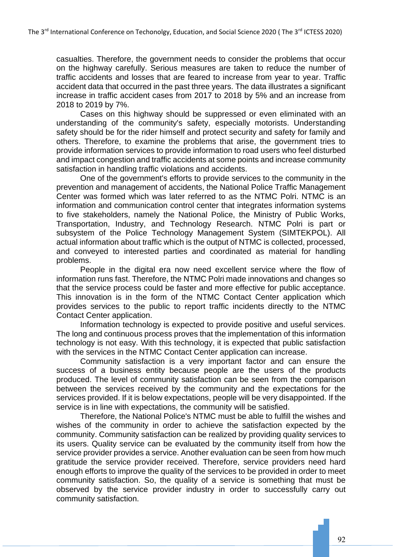casualties. Therefore, the government needs to consider the problems that occur on the highway carefully. Serious measures are taken to reduce the number of traffic accidents and losses that are feared to increase from year to year. Traffic accident data that occurred in the past three years. The data illustrates a significant increase in traffic accident cases from 2017 to 2018 by 5% and an increase from 2018 to 2019 by 7%.

Cases on this highway should be suppressed or even eliminated with an understanding of the community's safety, especially motorists. Understanding safety should be for the rider himself and protect security and safety for family and others. Therefore, to examine the problems that arise, the government tries to provide information services to provide information to road users who feel disturbed and impact congestion and traffic accidents at some points and increase community satisfaction in handling traffic violations and accidents.

One of the government's efforts to provide services to the community in the prevention and management of accidents, the National Police Traffic Management Center was formed which was later referred to as the NTMC Polri. NTMC is an information and communication control center that integrates information systems to five stakeholders, namely the National Police, the Ministry of Public Works, Transportation, Industry, and Technology Research. NTMC Polri is part or subsystem of the Police Technology Management System (SIMTEKPOL). All actual information about traffic which is the output of NTMC is collected, processed, and conveyed to interested parties and coordinated as material for handling problems.

People in the digital era now need excellent service where the flow of information runs fast. Therefore, the NTMC Polri made innovations and changes so that the service process could be faster and more effective for public acceptance. This innovation is in the form of the NTMC Contact Center application which provides services to the public to report traffic incidents directly to the NTMC Contact Center application.

Information technology is expected to provide positive and useful services. The long and continuous process proves that the implementation of this information technology is not easy. With this technology, it is expected that public satisfaction with the services in the NTMC Contact Center application can increase.

Community satisfaction is a very important factor and can ensure the success of a business entity because people are the users of the products produced. The level of community satisfaction can be seen from the comparison between the services received by the community and the expectations for the services provided. If it is below expectations, people will be very disappointed. If the service is in line with expectations, the community will be satisfied.

Therefore, the National Police's NTMC must be able to fulfill the wishes and wishes of the community in order to achieve the satisfaction expected by the community. Community satisfaction can be realized by providing quality services to its users. Quality service can be evaluated by the community itself from how the service provider provides a service. Another evaluation can be seen from how much gratitude the service provider received. Therefore, service providers need hard enough efforts to improve the quality of the services to be provided in order to meet community satisfaction. So, the quality of a service is something that must be observed by the service provider industry in order to successfully carry out community satisfaction.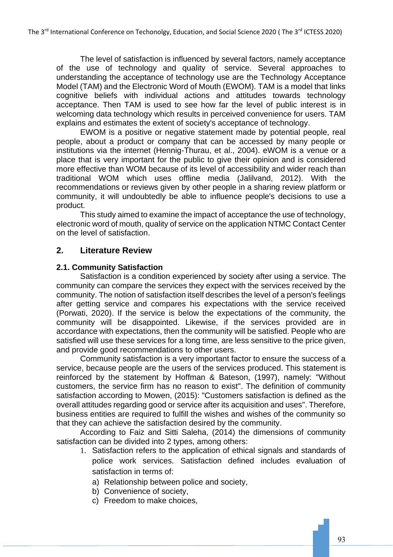The level of satisfaction is influenced by several factors, namely acceptance of the use of technology and quality of service. Several approaches to understanding the acceptance of technology use are the Technology Acceptance Model (TAM) and the Electronic Word of Mouth (EWOM). TAM is a model that links cognitive beliefs with individual actions and attitudes towards technology acceptance. Then TAM is used to see how far the level of public interest is in welcoming data technology which results in perceived convenience for users. TAM explains and estimates the extent of society's acceptance of technology.

EWOM is a positive or negative statement made by potential people, real people, about a product or company that can be accessed by many people or institutions via the internet (Hennig-Thurau, et al., 2004). eWOM is a venue or a place that is very important for the public to give their opinion and is considered more effective than WOM because of its level of accessibility and wider reach than traditional WOM which uses offline media (Jalilvand, 2012). With the recommendations or reviews given by other people in a sharing review platform or community, it will undoubtedly be able to influence people's decisions to use a product.

This study aimed to examine the impact of acceptance the use of technology, electronic word of mouth, quality of service on the application NTMC Contact Center on the level of satisfaction.

## **2. Literature Review**

## **2.1. Community Satisfaction**

Satisfaction is a condition experienced by society after using a service. The community can compare the services they expect with the services received by the community. The notion of satisfaction itself describes the level of a person's feelings after getting service and compares his expectations with the service received (Porwati, 2020). If the service is below the expectations of the community, the community will be disappointed. Likewise, if the services provided are in accordance with expectations, then the community will be satisfied. People who are satisfied will use these services for a long time, are less sensitive to the price given, and provide good recommendations to other users.

Community satisfaction is a very important factor to ensure the success of a service, because people are the users of the services produced. This statement is reinforced by the statement by Hoffman & Bateson, (1997), namely: "Without customers, the service firm has no reason to exist". The definition of community satisfaction according to Mowen, (2015): "Customers satisfaction is defined as the overall attitudes regarding good or service after its acquisition and uses". Therefore, business entities are required to fulfill the wishes and wishes of the community so that they can achieve the satisfaction desired by the community.

According to Faiz and Sitti Saleha, (2014) the dimensions of community satisfaction can be divided into 2 types, among others:

- 1. Satisfaction refers to the application of ethical signals and standards of police work services. Satisfaction defined includes evaluation of satisfaction in terms of:
	- a) Relationship between police and society,
	- b) Convenience of society,
	- c) Freedom to make choices,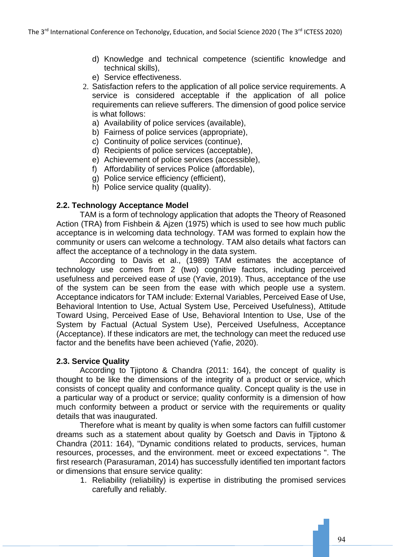- d) Knowledge and technical competence (scientific knowledge and technical skills),
- e) Service effectiveness.
- 2. Satisfaction refers to the application of all police service requirements. A service is considered acceptable if the application of all police requirements can relieve sufferers. The dimension of good police service is what follows:
	- a) Availability of police services (available),
	- b) Fairness of police services (appropriate),
	- c) Continuity of police services (continue),
	- d) Recipients of police services (acceptable),
	- e) Achievement of police services (accessible),
	- f) Affordability of services Police (affordable),
	- g) Police service efficiency (efficient),
	- h) Police service quality (quality).

### **2.2. Technology Acceptance Model**

TAM is a form of technology application that adopts the Theory of Reasoned Action (TRA) from Fishbein & Ajzen (1975) which is used to see how much public acceptance is in welcoming data technology. TAM was formed to explain how the community or users can welcome a technology. TAM also details what factors can affect the acceptance of a technology in the data system.

According to Davis et al., (1989) TAM estimates the acceptance of technology use comes from 2 (two) cognitive factors, including perceived usefulness and perceived ease of use (Yavie, 2019). Thus, acceptance of the use of the system can be seen from the ease with which people use a system. Acceptance indicators for TAM include: External Variables, Perceived Ease of Use, Behavioral Intention to Use, Actual System Use, Perceived Usefulness), Attitude Toward Using, Perceived Ease of Use, Behavioral Intention to Use, Use of the System by Factual (Actual System Use), Perceived Usefulness, Acceptance (Acceptance). If these indicators are met, the technology can meet the reduced use factor and the benefits have been achieved (Yafie, 2020).

#### **2.3. Service Quality**

According to Tjiptono & Chandra (2011: 164), the concept of quality is thought to be like the dimensions of the integrity of a product or service, which consists of concept quality and conformance quality. Concept quality is the use in a particular way of a product or service; quality conformity is a dimension of how much conformity between a product or service with the requirements or quality details that was inaugurated.

Therefore what is meant by quality is when some factors can fulfill customer dreams such as a statement about quality by Goetsch and Davis in Tjiptono & Chandra (2011: 164), "Dynamic conditions related to products, services, human resources, processes, and the environment. meet or exceed expectations ". The first research (Parasuraman, 2014) has successfully identified ten important factors or dimensions that ensure service quality:

1. Reliability (reliability) is expertise in distributing the promised services carefully and reliably.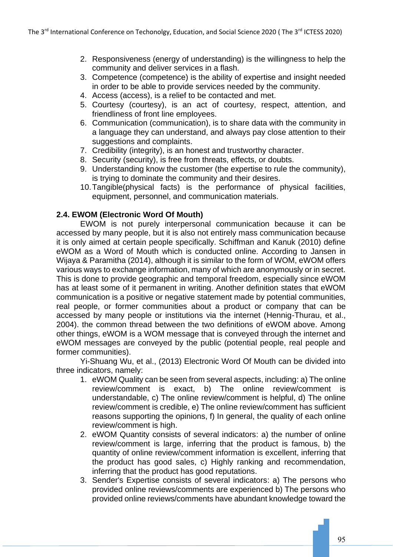- 2. Responsiveness (energy of understanding) is the willingness to help the community and deliver services in a flash.
- 3. Competence (competence) is the ability of expertise and insight needed in order to be able to provide services needed by the community.
- 4. Access (access), is a relief to be contacted and met.
- 5. Courtesy (courtesy), is an act of courtesy, respect, attention, and friendliness of front line employees.
- 6. Communication (communication), is to share data with the community in a language they can understand, and always pay close attention to their suggestions and complaints.
- 7. Credibility (integrity), is an honest and trustworthy character.
- 8. Security (security), is free from threats, effects, or doubts.
- 9. Understanding know the customer (the expertise to rule the community), is trying to dominate the community and their desires.
- 10.Tangible(physical facts) is the performance of physical facilities, equipment, personnel, and communication materials.

## **2.4. EWOM (Electronic Word Of Mouth)**

EWOM is not purely interpersonal communication because it can be accessed by many people, but it is also not entirely mass communication because it is only aimed at certain people specifically. Schiffman and Kanuk (2010) define eWOM as a Word of Mouth which is conducted online. According to Jansen in Wijaya & Paramitha (2014), although it is similar to the form of WOM, eWOM offers various ways to exchange information, many of which are anonymously or in secret. This is done to provide geographic and temporal freedom, especially since eWOM has at least some of it permanent in writing. Another definition states that eWOM communication is a positive or negative statement made by potential communities, real people, or former communities about a product or company that can be accessed by many people or institutions via the internet (Hennig-Thurau, et al., 2004). the common thread between the two definitions of eWOM above. Among other things, eWOM is a WOM message that is conveyed through the internet and eWOM messages are conveyed by the public (potential people, real people and former communities).

Yi-Shuang Wu, et al., (2013) Electronic Word Of Mouth can be divided into three indicators, namely:

- 1. eWOM Quality can be seen from several aspects, including: a) The online review/comment is exact, b) The online review/comment is understandable, c) The online review/comment is helpful, d) The online review/comment is credible, e) The online review/comment has sufficient reasons supporting the opinions, f) In general, the quality of each online review/comment is high.
- 2. eWOM Quantity consists of several indicators: a) the number of online review/comment is large, inferring that the product is famous, b) the quantity of online review/comment information is excellent, inferring that the product has good sales, c) Highly ranking and recommendation, inferring that the product has good reputations.
- 3. Sender's Expertise consists of several indicators: a) The persons who provided online reviews/comments are experienced b) The persons who provided online reviews/comments have abundant knowledge toward the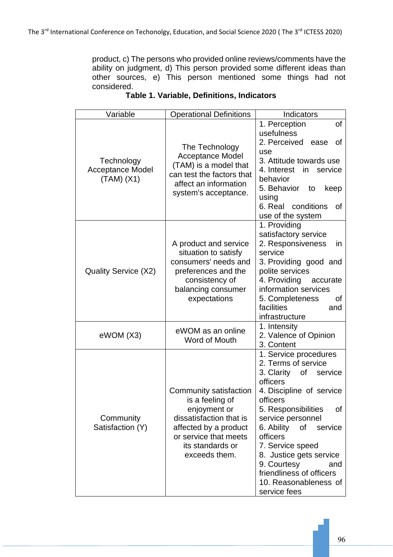product, c) The persons who provided online reviews/comments have the ability on judgment, d) This person provided some different ideas than other sources, e) This person mentioned some things had not considered.

| Variable                                            | <b>Operational Definitions</b>                                                                                                                                              | Indicators                                                                                                                                                                                                                                                                                                                                                             |  |
|-----------------------------------------------------|-----------------------------------------------------------------------------------------------------------------------------------------------------------------------------|------------------------------------------------------------------------------------------------------------------------------------------------------------------------------------------------------------------------------------------------------------------------------------------------------------------------------------------------------------------------|--|
| Technology<br><b>Acceptance Model</b><br>(TAM) (X1) | The Technology<br><b>Acceptance Model</b><br>(TAM) is a model that<br>can test the factors that<br>affect an information<br>system's acceptance.                            | 1. Perception<br>of<br>usefulness<br>2. Perceived<br>ease<br>οf<br>use<br>3. Attitude towards use<br>4. Interest<br>in service<br>behavior<br>5. Behavior to<br>keep<br>using<br>6. Real conditions<br>οf<br>use of the system                                                                                                                                         |  |
| Quality Service (X2)                                | A product and service<br>situation to satisfy<br>consumers' needs and<br>preferences and the<br>consistency of<br>balancing consumer<br>expectations                        | 1. Providing<br>satisfactory service<br>2. Responsiveness<br>in.<br>service<br>3. Providing good and<br>polite services<br>4. Providing accurate<br>information services<br>5. Completeness<br>0f<br>facilities<br>and<br>infrastructure                                                                                                                               |  |
| eWOM (X3)                                           | eWOM as an online<br>Word of Mouth                                                                                                                                          | 1. Intensity<br>2. Valence of Opinion<br>3. Content                                                                                                                                                                                                                                                                                                                    |  |
| Community<br>Satisfaction (Y)                       | Community satisfaction<br>is a feeling of<br>enjoyment or<br>dissatisfaction that is<br>affected by a product<br>or service that meets<br>its standards or<br>exceeds them. | 1. Service procedures<br>2. Terms of service<br>3. Clarity<br>of<br>service<br>officers<br>4. Discipline of service<br>officers<br>5. Responsibilities<br>of<br>service personnel<br>6. Ability<br>of<br>service<br>officers<br>7. Service speed<br>8. Justice gets service<br>9. Courtesy<br>and<br>friendliness of officers<br>10. Reasonableness of<br>service fees |  |

# **Table 1. Variable, Definitions, Indicators**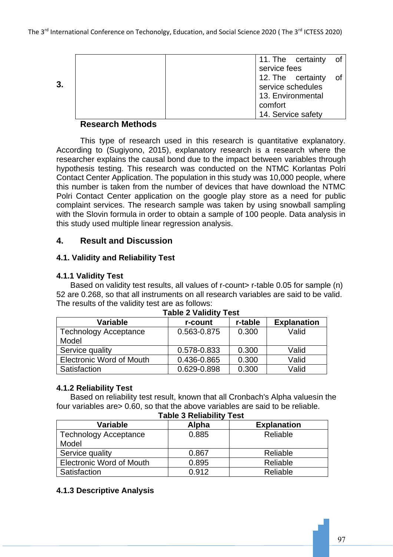|    |                      | 11. The certainty of |  |
|----|----------------------|----------------------|--|
|    |                      | service fees         |  |
| 3. | 12. The certainty of |                      |  |
|    | service schedules    |                      |  |
|    |                      | 13. Environmental    |  |
|    |                      | comfort              |  |
|    |                      | 14. Service safety   |  |

## **Research Methods**

This type of research used in this research is quantitative explanatory. According to (Sugiyono, 2015), explanatory research is a research where the researcher explains the causal bond due to the impact between variables through hypothesis testing. This research was conducted on the NTMC Korlantas Polri Contact Center Application. The population in this study was 10,000 people, where this number is taken from the number of devices that have download the NTMC Polri Contact Center application on the google play store as a need for public complaint services. The research sample was taken by using snowball sampling with the Slovin formula in order to obtain a sample of 100 people. Data analysis in this study used multiple linear regression analysis.

# **4. Result and Discussion**

## **4.1. Validity and Reliability Test**

## **4.1.1 Validity Test**

Based on validity test results, all values of r-count> r-table 0.05 for sample (n) 52 are 0.268, so that all instruments on all research variables are said to be valid. The results of the validity test are as follows:

| Variable                        | r-count     | r-table | <b>Explanation</b> |
|---------------------------------|-------------|---------|--------------------|
| <b>Technology Acceptance</b>    | 0.563-0.875 | 0.300   | Valid              |
| Model                           |             |         |                    |
| Service quality                 | 0.578-0.833 | 0.300   | Valid              |
| <b>Electronic Word of Mouth</b> | 0.436-0.865 | 0.300   | Valid              |
| Satisfaction                    | 0.629-0.898 | 0.300   | Valid              |

#### **Table 2 Validity Test**

## **4.1.2 Reliability Test**

Based on reliability test result, known that all Cronbach's Alpha valuesin the four variables are> 0.60, so that the above variables are said to be reliable. **Table 3 Reliability Test**

| Table 5 Reliability Test              |       |                    |  |  |  |
|---------------------------------------|-------|--------------------|--|--|--|
| Variable                              | Alpha | <b>Explanation</b> |  |  |  |
| <b>Technology Acceptance</b><br>Model | 0.885 | Reliable           |  |  |  |
| Service quality                       | 0.867 | Reliable           |  |  |  |
| <b>Electronic Word of Mouth</b>       | 0.895 | Reliable           |  |  |  |
| Satisfaction                          | 0.912 | Reliable           |  |  |  |

## **4.1.3 Descriptive Analysis**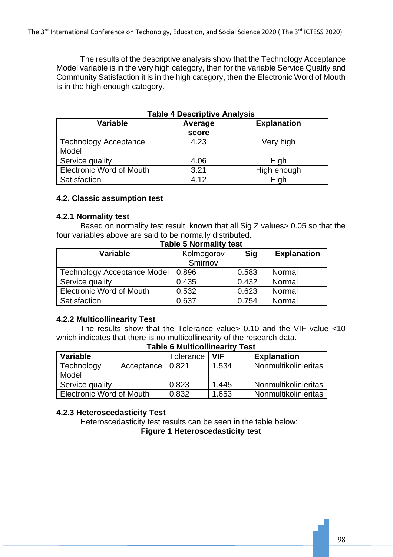The results of the descriptive analysis show that the Technology Acceptance Model variable is in the very high category, then for the variable Service Quality and Community Satisfaction it is in the high category, then the Electronic Word of Mouth is in the high enough category.

| Variable                              | Average<br>score | <b>Explanation</b> |
|---------------------------------------|------------------|--------------------|
| <b>Technology Acceptance</b><br>Model | 4.23             | Very high          |
| Service quality                       | 4.06             | High               |
| <b>Electronic Word of Mouth</b>       | 3.21             | High enough        |
| Satisfaction                          | 4.12             | High               |

## **Table 4 Descriptive Analysis**

#### **4.2. Classic assumption test**

#### **4.2.1 Normality test**

Based on normality test result, known that all Sig Z values> 0.05 so that the four variables above are said to be normally distributed. **Table 5 Normality test**

| raple 5 Normality test             |            |            |                    |  |
|------------------------------------|------------|------------|--------------------|--|
| Variable                           | Kolmogorov | <b>Sig</b> | <b>Explanation</b> |  |
|                                    | Smirnov    |            |                    |  |
| <b>Technology Acceptance Model</b> | 0.896      | 0.583      | Normal             |  |
| Service quality                    | 0.435      | 0.432      | Normal             |  |
| <b>Electronic Word of Mouth</b>    | 0.532      | 0.623      | Normal             |  |
| Satisfaction                       | 0.637      | 0.754      | Normal             |  |

## **4.2.2 Multicollinearity Test**

The results show that the Tolerance value> 0.10 and the VIF value <10 which indicates that there is no multicollinearity of the research data. **Table 6 Multicollinearity Test**

| <b>Variable</b>                  | <b>Tolerance</b> | <b>VIF</b> | <b>Explanation</b>   |  |
|----------------------------------|------------------|------------|----------------------|--|
| Technology<br>Acceptance   0.821 |                  | 1.534      | Nonmultikolinieritas |  |
| Model                            |                  |            |                      |  |
| Service quality                  | 0.823            | 1.445      | Nonmultikolinieritas |  |
| <b>Electronic Word of Mouth</b>  | 0.832            | 1.653      | Nonmultikolinieritas |  |

## **4.2.3 Heteroscedasticity Test**

Heteroscedasticity test results can be seen in the table below: **Figure 1 Heteroscedasticity test**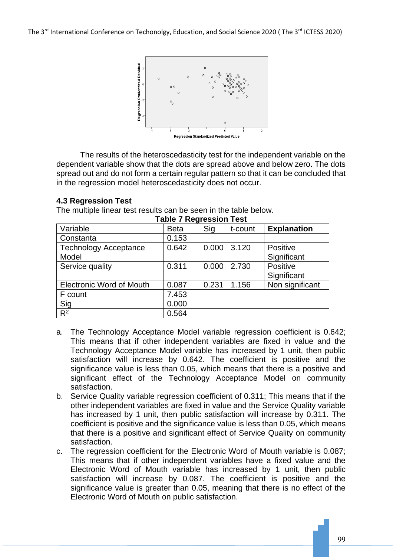The 3<sup>rd</sup> International Conference on Techonolgy, Education, and Social Science 2020 (The 3<sup>rd</sup> ICTESS 2020)



The results of the heteroscedasticity test for the independent variable on the dependent variable show that the dots are spread above and below zero. The dots spread out and do not form a certain regular pattern so that it can be concluded that in the regression model heteroscedasticity does not occur.

| <b>Table 7 Regression Test</b>  |             |       |         |                    |  |
|---------------------------------|-------------|-------|---------|--------------------|--|
| Variable                        | <b>Beta</b> | Sig   | t-count | <b>Explanation</b> |  |
| Constanta                       | 0.153       |       |         |                    |  |
| <b>Technology Acceptance</b>    | 0.642       | 0.000 | 3.120   | Positive           |  |
| Model                           |             |       |         | Significant        |  |
| Service quality                 | 0.311       | 0.000 | 2.730   | Positive           |  |
|                                 |             |       |         | Significant        |  |
| <b>Electronic Word of Mouth</b> | 0.087       | 0.231 | 1.156   | Non significant    |  |
| F count                         | 7.453       |       |         |                    |  |
| Sig                             | 0.000       |       |         |                    |  |
| $R^2$                           | 0.564       |       |         |                    |  |

## **4.3 Regression Test**

The multiple linear test results can be seen in the table below.

- a. The Technology Acceptance Model variable regression coefficient is 0.642; This means that if other independent variables are fixed in value and the Technology Acceptance Model variable has increased by 1 unit, then public satisfaction will increase by 0.642. The coefficient is positive and the significance value is less than 0.05, which means that there is a positive and significant effect of the Technology Acceptance Model on community satisfaction.
- b. Service Quality variable regression coefficient of 0.311; This means that if the other independent variables are fixed in value and the Service Quality variable has increased by 1 unit, then public satisfaction will increase by 0.311. The coefficient is positive and the significance value is less than 0.05, which means that there is a positive and significant effect of Service Quality on community satisfaction.
- c. The regression coefficient for the Electronic Word of Mouth variable is 0.087; This means that if other independent variables have a fixed value and the Electronic Word of Mouth variable has increased by 1 unit, then public satisfaction will increase by 0.087. The coefficient is positive and the significance value is greater than 0.05, meaning that there is no effect of the Electronic Word of Mouth on public satisfaction.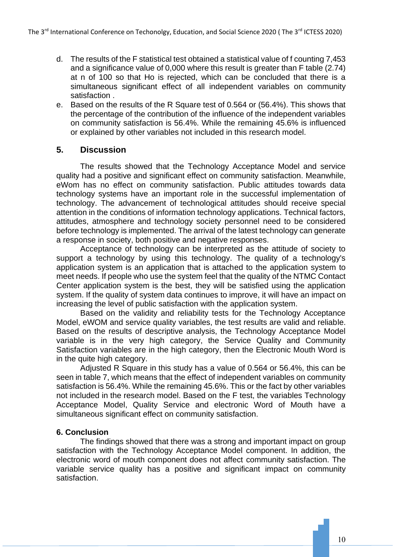- d. The results of the F statistical test obtained a statistical value of f counting 7,453 and a significance value of 0,000 where this result is greater than F table (2.74) at n of 100 so that Ho is rejected, which can be concluded that there is a simultaneous significant effect of all independent variables on community satisfaction .
- e. Based on the results of the R Square test of 0.564 or (56.4%). This shows that the percentage of the contribution of the influence of the independent variables on community satisfaction is 56.4%. While the remaining 45.6% is influenced or explained by other variables not included in this research model.

# **5. Discussion**

The results showed that the Technology Acceptance Model and service quality had a positive and significant effect on community satisfaction. Meanwhile, eWom has no effect on community satisfaction. Public attitudes towards data technology systems have an important role in the successful implementation of technology. The advancement of technological attitudes should receive special attention in the conditions of information technology applications. Technical factors, attitudes, atmosphere and technology society personnel need to be considered before technology is implemented. The arrival of the latest technology can generate a response in society, both positive and negative responses.

Acceptance of technology can be interpreted as the attitude of society to support a technology by using this technology. The quality of a technology's application system is an application that is attached to the application system to meet needs. If people who use the system feel that the quality of the NTMC Contact Center application system is the best, they will be satisfied using the application system. If the quality of system data continues to improve, it will have an impact on increasing the level of public satisfaction with the application system.

Based on the validity and reliability tests for the Technology Acceptance Model, eWOM and service quality variables, the test results are valid and reliable. Based on the results of descriptive analysis, the Technology Acceptance Model variable is in the very high category, the Service Quality and Community Satisfaction variables are in the high category, then the Electronic Mouth Word is in the quite high category.

Adjusted R Square in this study has a value of 0.564 or 56.4%, this can be seen in table 7, which means that the effect of independent variables on community satisfaction is 56.4%. While the remaining 45.6%. This or the fact by other variables not included in the research model. Based on the F test, the variables Technology Acceptance Model, Quality Service and electronic Word of Mouth have a simultaneous significant effect on community satisfaction.

## **6. Conclusion**

The findings showed that there was a strong and important impact on group satisfaction with the Technology Acceptance Model component. In addition, the electronic word of mouth component does not affect community satisfaction. The variable service quality has a positive and significant impact on community satisfaction.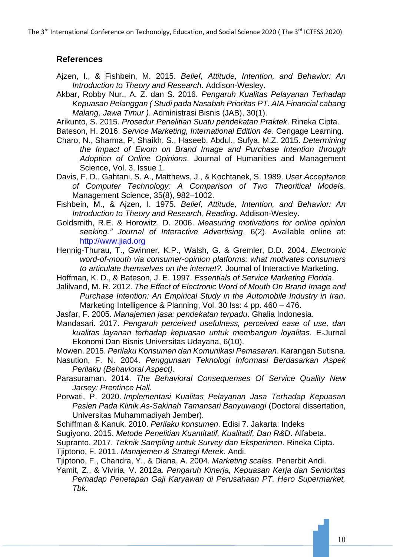The 3<sup>rd</sup> International Conference on Techonolgy, Education, and Social Science 2020 (The 3<sup>rd</sup> ICTESS 2020)

# **References**

- Ajzen, I., & Fishbein, M. 2015. *Belief, Attitude, Intention, and Behavior: An Introduction to Theory and Research*. Addison-Wesley.
- Akbar, Robby Nur., A. Z. dan S. 2016. *Pengaruh Kualitas Pelayanan Terhadap Kepuasan Pelanggan ( Studi pada Nasabah Prioritas PT. AIA Financial cabang Malang, Jawa Timur )*. Administrasi Bisnis (JAB), 30(1).
- Arikunto, S. 2015. *Prosedur Penelitian Suatu pendekatan Praktek*. Rineka Cipta.
- Bateson, H. 2016. *Service Marketing, International Edition 4e*. Cengage Learning.
- Charo, N., Sharma, P, Shaikh, S., Haseeb, Abdul., Sufya, M.Z. 2015. *Determining the Impact of Ewom on Brand Image and Purchase Intention through Adoption of Online Opinions*. Journal of Humanities and Management Science, Vol. 3, Issue 1.
- Davis, F. D., Gahtani, S. A., Matthews, J., & Kochtanek, S. 1989. *User Acceptance of Computer Technology: A Comparison of Two Theoritical Models.* Management Science, 35(8), 982–1002.
- Fishbein, M., & Ajzen, I. 1975. *Belief, Attitude, Intention, and Behavior: An Introduction to Theory and Research, Reading*. Addison-Wesley.
- Goldsmith, R.E. & Horowitz, D. 2006. *Measuring motivations for online opinion seeking." Journal of Interactive Advertising*, 6(2). Available online at: [http://www.jiad.org](http://www.jiad.org/)
- Hennig-Thurau, T., Gwinner, K.P., Walsh, G. & Gremler, D.D. 2004. *Electronic word-of-mouth via consumer-opinion platforms: what motivates consumers to articulate themselves on the internet?.* Journal of Interactive Marketing.
- Hoffman, K. D., & Bateson, J. E. 1997. *Essentials of Service Marketing Florida*.
- Jalilvand, M. R. 2012. *The Effect of Electronic Word of Mouth On Brand Image and Purchase Intention: An Empirical Study in the Automobile Industry in Iran.* Marketing Intelligence & Planning, Vol. 30 Iss: 4 pp. 460 – 476.
- Jasfar, F. 2005. *Manajemen jasa: pendekatan terpadu*. Ghalia Indonesia.
- Mandasari. 2017. *Pengaruh perceived usefulness, perceived ease of use, dan kualitas layanan terhadap kepuasan untuk membangun loyalitas.* E-Jurnal Ekonomi Dan Bisnis Universitas Udayana, 6(10).
- Mowen. 2015. *Perilaku Konsumen dan Komunikasi Pemasaran*. Karangan Sutisna.
- Nasution, F. N. 2004. *Penggunaan Teknologi Informasi Berdasarkan Aspek Perilaku (Behavioral Aspect)*.
- Parasuraman. 2014. *The Behavioral Consequenses Of Service Quality New Jarsey: Prentince Hall.*
- Porwati, P. 2020. *Implementasi Kualitas Pelayanan Jasa Terhadap Kepuasan Pasien Pada Klinik As-Sakinah Tamansari Banyuwangi* (Doctoral dissertation, Universitas Muhammadiyah Jember).
- Schiffman & Kanuk. 2010. *Perilaku konsumen*. Edisi 7. Jakarta: Indeks
- Sugiyono. 2015. *Metode Penelitian Kuantitatif, Kualitatif, Dan R&D*. Alfabeta.
- Supranto. 2017. *Teknik Sampling untuk Survey dan Eksperimen*. Rineka Cipta.
- Tjiptono, F. 2011. *Manajemen & Strategi Merek*. Andi.
- Tjiptono, F., Chandra, Y., & Diana, A. 2004. *Marketing scales*. Penerbit Andi.
- Yamit, Z., & Viviria, V. 2012a. *Pengaruh Kinerja, Kepuasan Kerja dan Senioritas Perhadap Penetapan Gaji Karyawan di Perusahaan PT. Hero Supermarket, Tbk.*